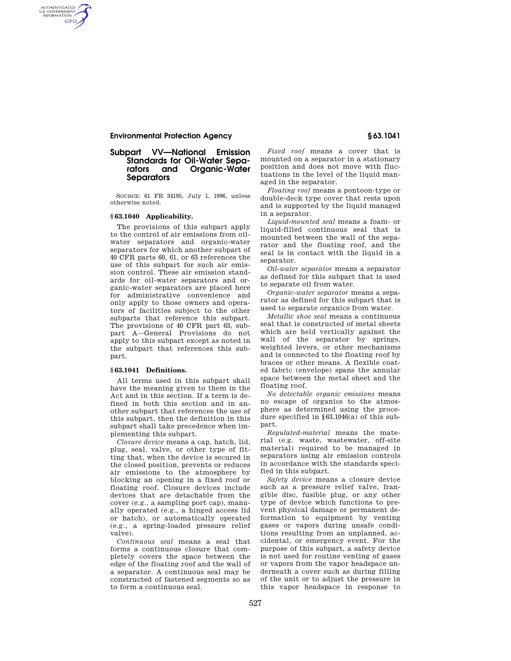# **Subpart VV—National Emission Standards for Oil-Water Sepa-Organic-Water Separators**

SOURCE: 61 FR 34195, July 1, 1996, unless otherwise noted.

### **§ 63.1040 Applicability.**

AUTHENTICATED<br>U.S. GOVERNMENT<br>INFORMATION GPO

> The provisions of this subpart apply to the control of air emissions from oilwater separators and organic-water separators for which another subpart of 40 CFR parts 60, 61, or 63 references the use of this subpart for such air emission control. These air emission standards for oil-water separators and organic-water separators are placed here for administrative convenience and only apply to those owners and operators of facilities subject to the other subparts that reference this subpart. The provisions of 40 CFR part 63, subpart A—General Provisions do not apply to this subpart except as noted in the subpart that references this subpart.

#### **§ 63.1041 Definitions.**

All terms used in this subpart shall have the meaning given to them in the Act and in this section. If a term is defined in both this section and in another subpart that references the use of this subpart, then the definition in this subpart shall take precedence when implementing this subpart.

*Closure device* means a cap, hatch, lid, plug, seal, valve, or other type of fitting that, when the device is secured in the closed position, prevents or reduces air emissions to the atmosphere by blocking an opening in a fixed roof or floating roof. Closure devices include devices that are detachable from the cover (e.g., a sampling port cap), manually operated (e.g., a hinged access lid or hatch), or automatically operated (e.g., a spring-loaded pressure relief valve).

*Continuous seal* means a seal that forms a continuous closure that completely covers the space between the edge of the floating roof and the wall of a separator. A continuous seal may be constructed of fastened segments so as to form a continuous seal.

*Fixed roof* means a cover that is mounted on a separator in a stationary position and does not move with fluctuations in the level of the liquid managed in the separator.

*Floating roof* means a pontoon-type or double-deck type cover that rests upon and is supported by the liquid managed in a separator.

*Liquid-mounted seal* means a foam- or liquid-filled continuous seal that is mounted between the wall of the separator and the floating roof, and the seal is in contact with the liquid in a separator.

*Oil-water separator* means a separator as defined for this subpart that is used to separate oil from water.

*Organic-water separator* means a separator as defined for this subpart that is used to separate organics from water.

*Metallic shoe seal* means a continuous seal that is constructed of metal sheets which are held vertically against the wall of the separator by springs, weighted levers, or other mechanisms and is connected to the floating roof by braces or other means. A flexible coated fabric (envelope) spans the annular space between the metal sheet and the floating roof.

*No detectable organic emissions* means no escape of organics to the atmosphere as determined using the procedure specified in §63.1046(a) of this subpart.

*Regulated-material* means the material (e.g. waste, wastewater, off-site material) required to be managed in separators using air emission controls in accordance with the standards specified in this subpart.

*Safety device* means a closure device such as a pressure relief valve, frangible disc, fusible plug, or any other type of device which functions to prevent physical damage or permanent deformation to equipment by venting gases or vapors during unsafe conditions resulting from an unplanned, accidental, or emergency event. For the purpose of this subpart, a safety device is not used for routine venting of gases or vapors from the vapor headspace underneath a cover such as during filling of the unit or to adjust the pressure in this vapor headspace in response to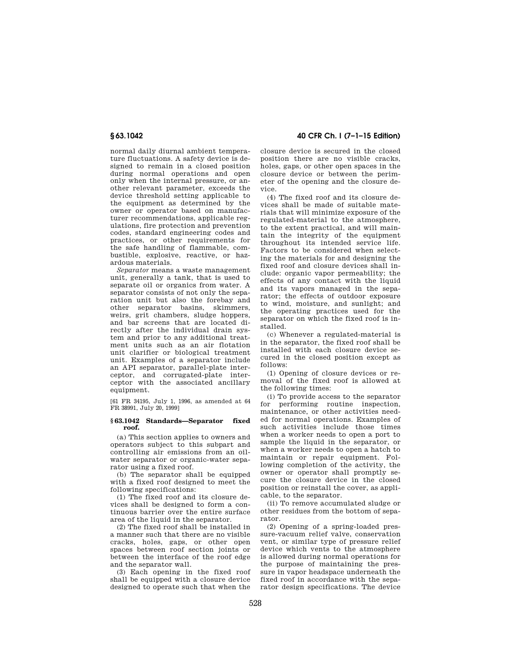normal daily diurnal ambient temperature fluctuations. A safety device is designed to remain in a closed position during normal operations and open only when the internal pressure, or another relevant parameter, exceeds the device threshold setting applicable to the equipment as determined by the owner or operator based on manufacturer recommendations, applicable regulations, fire protection and prevention codes, standard engineering codes and practices, or other requirements for the safe handling of flammable, combustible, explosive, reactive, or hazardous materials.

*Separator* means a waste management unit, generally a tank, that is used to separate oil or organics from water. A separator consists of not only the separation unit but also the forebay and other separator basins, skimmers, weirs, grit chambers, sludge hoppers, and bar screens that are located directly after the individual drain system and prior to any additional treatment units such as an air flotation unit clarifier or biological treatment unit. Examples of a separator include an API separator, parallel-plate interceptor, and corrugated-plate interceptor with the associated ancillary equipment.

[61 FR 34195, July 1, 1996, as amended at 64 FR 38991, July 20, 1999]

#### **§ 63.1042 Standards—Separator fixed roof.**

(a) This section applies to owners and operators subject to this subpart and controlling air emissions from an oilwater separator or organic-water separator using a fixed roof.

(b) The separator shall be equipped with a fixed roof designed to meet the following specifications:

(1) The fixed roof and its closure devices shall be designed to form a continuous barrier over the entire surface area of the liquid in the separator.

(2) The fixed roof shall be installed in a manner such that there are no visible cracks, holes, gaps, or other open spaces between roof section joints or between the interface of the roof edge and the separator wall.

(3) Each opening in the fixed roof shall be equipped with a closure device designed to operate such that when the

**§ 63.1042 40 CFR Ch. I (7–1–15 Edition)** 

closure device is secured in the closed position there are no visible cracks, holes, gaps, or other open spaces in the closure device or between the perimeter of the opening and the closure device.

(4) The fixed roof and its closure devices shall be made of suitable materials that will minimize exposure of the regulated-material to the atmosphere, to the extent practical, and will maintain the integrity of the equipment throughout its intended service life. Factors to be considered when selecting the materials for and designing the fixed roof and closure devices shall include: organic vapor permeability; the effects of any contact with the liquid and its vapors managed in the separator; the effects of outdoor exposure to wind, moisture, and sunlight; and the operating practices used for the separator on which the fixed roof is installed.

(c) Whenever a regulated-material is in the separator, the fixed roof shall be installed with each closure device secured in the closed position except as follows:

(1) Opening of closure devices or removal of the fixed roof is allowed at the following times:

(i) To provide access to the separator for performing routine inspection, maintenance, or other activities needed for normal operations. Examples of such activities include those times when a worker needs to open a port to sample the liquid in the separator, or when a worker needs to open a hatch to maintain or repair equipment. Following completion of the activity, the owner or operator shall promptly secure the closure device in the closed position or reinstall the cover, as applicable, to the separator.

(ii) To remove accumulated sludge or other residues from the bottom of separator.

(2) Opening of a spring-loaded pressure-vacuum relief valve, conservation vent, or similar type of pressure relief device which vents to the atmosphere is allowed during normal operations for the purpose of maintaining the pressure in vapor headspace underneath the fixed roof in accordance with the separator design specifications. The device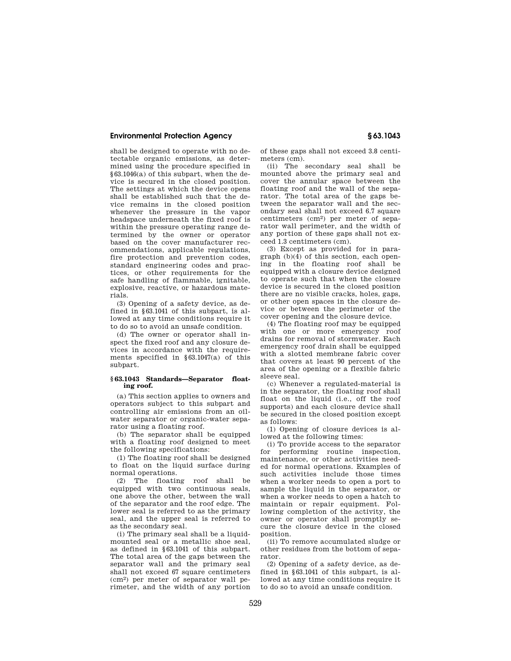shall be designed to operate with no detectable organic emissions, as determined using the procedure specified in §63.1046(a) of this subpart, when the device is secured in the closed position. The settings at which the device opens shall be established such that the device remains in the closed position whenever the pressure in the vapor headspace underneath the fixed roof is within the pressure operating range determined by the owner or operator based on the cover manufacturer recommendations, applicable regulations, fire protection and prevention codes, standard engineering codes and practices, or other requirements for the safe handling of flammable, ignitable, explosive, reactive, or hazardous materials.

(3) Opening of a safety device, as defined in §63.1041 of this subpart, is allowed at any time conditions require it to do so to avoid an unsafe condition.

(d) The owner or operator shall inspect the fixed roof and any closure devices in accordance with the requirements specified in §63.1047(a) of this subpart.

## **§ 63.1043 Standards—Separator floating roof.**

(a) This section applies to owners and operators subject to this subpart and controlling air emissions from an oilwater separator or organic-water separator using a floating roof.

(b) The separator shall be equipped with a floating roof designed to meet the following specifications:

(1) The floating roof shall be designed to float on the liquid surface during normal operations.

(2) The floating roof shall be equipped with two continuous seals, one above the other, between the wall of the separator and the roof edge. The lower seal is referred to as the primary seal, and the upper seal is referred to as the secondary seal.

(i) The primary seal shall be a liquidmounted seal or a metallic shoe seal, as defined in §63.1041 of this subpart. The total area of the gaps between the separator wall and the primary seal shall not exceed 67 square centimeters (cm2) per meter of separator wall perimeter, and the width of any portion of these gaps shall not exceed 3.8 centimeters (cm).

(ii) The secondary seal shall be mounted above the primary seal and cover the annular space between the floating roof and the wall of the separator. The total area of the gaps between the separator wall and the secondary seal shall not exceed 6.7 square centimeters (cm2) per meter of separator wall perimeter, and the width of any portion of these gaps shall not exceed 1.3 centimeters (cm).

(3) Except as provided for in paragraph (b)(4) of this section, each opening in the floating roof shall be equipped with a closure device designed to operate such that when the closure device is secured in the closed position there are no visible cracks, holes, gaps or other open spaces in the closure device or between the perimeter of the cover opening and the closure device.

(4) The floating roof may be equipped with one or more emergency roof drains for removal of stormwater. Each emergency roof drain shall be equipped with a slotted membrane fabric cover that covers at least 90 percent of the area of the opening or a flexible fabric sleeve seal.

(c) Whenever a regulated-material is in the separator, the floating roof shall float on the liquid (i.e., off the roof supports) and each closure device shall be secured in the closed position except as follows:

(1) Opening of closure devices is allowed at the following times:

(i) To provide access to the separator for performing routine inspection, maintenance, or other activities needed for normal operations. Examples of such activities include those times when a worker needs to open a port to sample the liquid in the separator, or when a worker needs to open a hatch to maintain or repair equipment. Following completion of the activity, the owner or operator shall promptly secure the closure device in the closed position.

(ii) To remove accumulated sludge or other residues from the bottom of separator.

(2) Opening of a safety device, as defined in §63.1041 of this subpart, is allowed at any time conditions require it to do so to avoid an unsafe condition.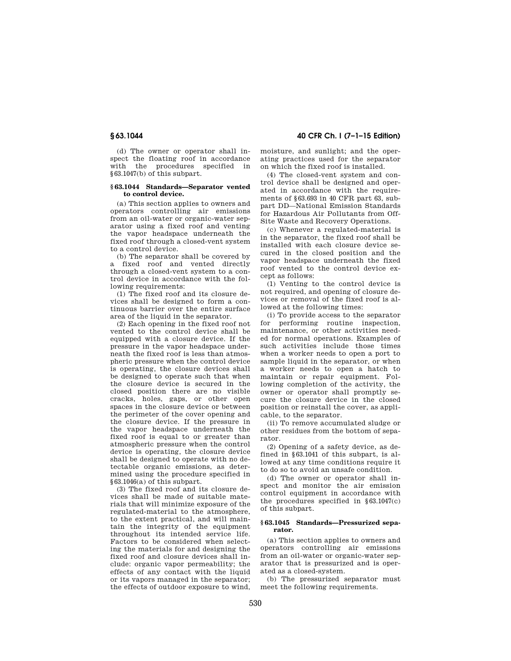(d) The owner or operator shall inspect the floating roof in accordance with the procedures specified in §63.1047(b) of this subpart.

#### **§ 63.1044 Standards—Separator vented to control device.**

(a) This section applies to owners and operators controlling air emissions from an oil-water or organic-water separator using a fixed roof and venting the vapor headspace underneath the fixed roof through a closed-vent system to a control device.

(b) The separator shall be covered by a fixed roof and vented directly through a closed-vent system to a control device in accordance with the following requirements:

(1) The fixed roof and its closure devices shall be designed to form a continuous barrier over the entire surface area of the liquid in the separator.

(2) Each opening in the fixed roof not vented to the control device shall be equipped with a closure device. If the pressure in the vapor headspace underneath the fixed roof is less than atmospheric pressure when the control device is operating, the closure devices shall be designed to operate such that when the closure device is secured in the closed position there are no visible cracks, holes, gaps, or other open spaces in the closure device or between the perimeter of the cover opening and the closure device. If the pressure in the vapor headspace underneath the fixed roof is equal to or greater than atmospheric pressure when the control device is operating, the closure device shall be designed to operate with no detectable organic emissions, as determined using the procedure specified in §63.1046(a) of this subpart.

(3) The fixed roof and its closure devices shall be made of suitable materials that will minimize exposure of the regulated-material to the atmosphere, to the extent practical, and will maintain the integrity of the equipment throughout its intended service life. Factors to be considered when selecting the materials for and designing the fixed roof and closure devices shall include: organic vapor permeability; the effects of any contact with the liquid or its vapors managed in the separator; the effects of outdoor exposure to wind,

**§ 63.1044 40 CFR Ch. I (7–1–15 Edition)** 

moisture, and sunlight; and the operating practices used for the separator on which the fixed roof is installed.

(4) The closed-vent system and control device shall be designed and operated in accordance with the requirements of §63.693 in 40 CFR part 63, subpart DD—National Emission Standards for Hazardous Air Pollutants from Off-Site Waste and Recovery Operations.

(c) Whenever a regulated-material is in the separator, the fixed roof shall be installed with each closure device secured in the closed position and the vapor headspace underneath the fixed roof vented to the control device except as follows:

(1) Venting to the control device is not required, and opening of closure devices or removal of the fixed roof is allowed at the following times:

(i) To provide access to the separator for performing routine inspection, maintenance, or other activities needed for normal operations. Examples of such activities include those times when a worker needs to open a port to sample liquid in the separator, or when a worker needs to open a hatch to maintain or repair equipment. Following completion of the activity, the owner or operator shall promptly secure the closure device in the closed position or reinstall the cover, as applicable, to the separator.

(ii) To remove accumulated sludge or other residues from the bottom of separator.

(2) Opening of a safety device, as defined in §63.1041 of this subpart, is allowed at any time conditions require it to do so to avoid an unsafe condition.

(d) The owner or operator shall inspect and monitor the air emission control equipment in accordance with the procedures specified in §63.1047(c) of this subpart.

## **§ 63.1045 Standards—Pressurized separator.**

(a) This section applies to owners and operators controlling air emissions from an oil-water or organic-water separator that is pressurized and is operated as a closed-system.

(b) The pressurized separator must meet the following requirements.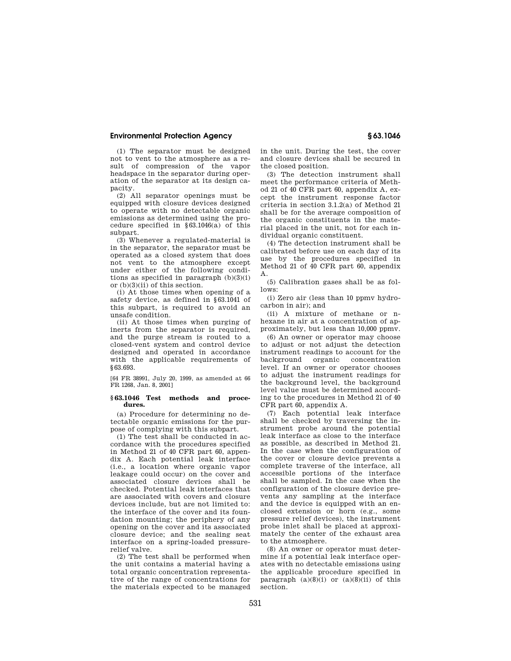(1) The separator must be designed not to vent to the atmosphere as a result of compression of the vapor headspace in the separator during operation of the separator at its design capacity.

(2) All separator openings must be equipped with closure devices designed to operate with no detectable organic emissions as determined using the procedure specified in §63.1046(a) of this subpart.

(3) Whenever a regulated-material is in the separator, the separator must be operated as a closed system that does not vent to the atmosphere except under either of the following conditions as specified in paragraph  $(b)(3)(i)$ or (b)(3)(ii) of this section.

(i) At those times when opening of a safety device, as defined in §63.1041 of this subpart, is required to avoid an unsafe condition.

(ii) At those times when purging of inerts from the separator is required, and the purge stream is routed to a closed-vent system and control device designed and operated in accordance with the applicable requirements of §63.693.

[64 FR 38991, July 20, 1999, as amended at 66 FR 1268, Jan. 8, 2001]

### **§ 63.1046 Test methods and procedures.**

(a) Procedure for determining no detectable organic emissions for the purpose of complying with this subpart.

(1) The test shall be conducted in accordance with the procedures specified in Method 21 of 40 CFR part 60, appendix A. Each potential leak interface (i.e., a location where organic vapor leakage could occur) on the cover and associated closure devices shall be checked. Potential leak interfaces that are associated with covers and closure devices include, but are not limited to: the interface of the cover and its foundation mounting; the periphery of any opening on the cover and its associated closure device; and the sealing seat interface on a spring-loaded pressurerelief valve.

(2) The test shall be performed when the unit contains a material having a total organic concentration representative of the range of concentrations for the materials expected to be managed in the unit. During the test, the cover and closure devices shall be secured in the closed position.

(3) The detection instrument shall meet the performance criteria of Method 21 of 40 CFR part 60, appendix A, except the instrument response factor criteria in section 3.1.2(a) of Method 21 shall be for the average composition of the organic constituents in the material placed in the unit, not for each individual organic constituent.

(4) The detection instrument shall be calibrated before use on each day of its use by the procedures specified in Method 21 of 40 CFR part 60, appendix A.

(5) Calibration gases shall be as follows:

(i) Zero air (less than 10 ppmv hydrocarbon in air); and

(ii) A mixture of methane or nhexane in air at a concentration of approximately, but less than 10,000 ppmv.

(6) An owner or operator may choose to adjust or not adjust the detection instrument readings to account for the background organic concentration level. If an owner or operator chooses to adjust the instrument readings for the background level, the background level value must be determined according to the procedures in Method 21 of 40 CFR part 60, appendix A.

(7) Each potential leak interface shall be checked by traversing the instrument probe around the potential leak interface as close to the interface as possible, as described in Method 21. In the case when the configuration of the cover or closure device prevents a complete traverse of the interface, all accessible portions of the interface shall be sampled. In the case when the configuration of the closure device prevents any sampling at the interface and the device is equipped with an enclosed extension or horn (e.g., some pressure relief devices), the instrument probe inlet shall be placed at approximately the center of the exhaust area to the atmosphere.

(8) An owner or operator must determine if a potential leak interface operates with no detectable emissions using the applicable procedure specified in paragraph  $(a)(8)(i)$  or  $(a)(8)(ii)$  of this section.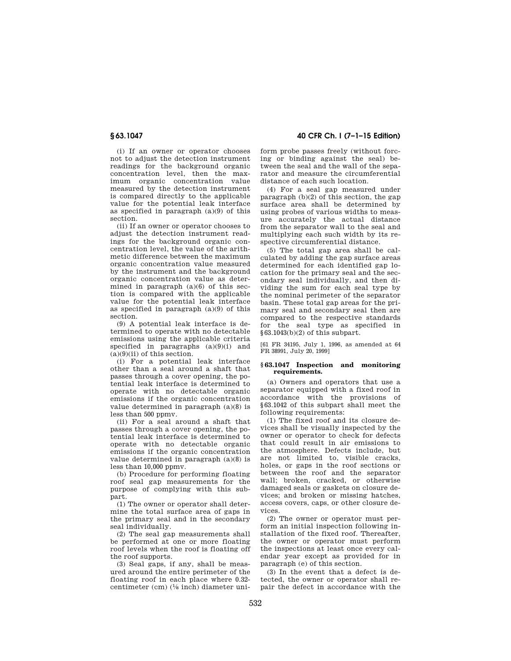(i) If an owner or operator chooses not to adjust the detection instrument readings for the background organic concentration level, then the maximum organic concentration value measured by the detection instrument is compared directly to the applicable value for the potential leak interface as specified in paragraph (a)(9) of this section.

(ii) If an owner or operator chooses to adjust the detection instrument readings for the background organic concentration level, the value of the arithmetic difference between the maximum organic concentration value measured by the instrument and the background organic concentration value as determined in paragraph  $(a)(6)$  of this section is compared with the applicable value for the potential leak interface as specified in paragraph (a)(9) of this section.

(9) A potential leak interface is determined to operate with no detectable emissions using the applicable criteria specified in paragraphs  $(a)(9)(i)$  and  $(a)(9)(ii)$  of this section.

(i) For a potential leak interface other than a seal around a shaft that passes through a cover opening, the potential leak interface is determined to operate with no detectable organic emissions if the organic concentration value determined in paragraph (a)(8) is less than 500 ppmv.

(ii) For a seal around a shaft that passes through a cover opening, the potential leak interface is determined to operate with no detectable organic emissions if the organic concentration value determined in paragraph (a)(8) is less than 10,000 ppmv.

(b) Procedure for performing floating roof seal gap measurements for the purpose of complying with this subpart.

(1) The owner or operator shall determine the total surface area of gaps in the primary seal and in the secondary seal individually.

(2) The seal gap measurements shall be performed at one or more floating roof levels when the roof is floating off the roof supports.

(3) Seal gaps, if any, shall be measured around the entire perimeter of the floating roof in each place where 0.32 centimeter (cm) (1⁄8 inch) diameter uni-

**§ 63.1047 40 CFR Ch. I (7–1–15 Edition)** 

form probe passes freely (without forcing or binding against the seal) between the seal and the wall of the separator and measure the circumferential distance of each such location.

(4) For a seal gap measured under paragraph  $(b)(2)$  of this section, the gap surface area shall be determined by using probes of various widths to measure accurately the actual distance from the separator wall to the seal and multiplying each such width by its respective circumferential distance.

(5) The total gap area shall be calculated by adding the gap surface areas determined for each identified gap location for the primary seal and the secondary seal individually, and then dividing the sum for each seal type by the nominal perimeter of the separator basin. These total gap areas for the primary seal and secondary seal then are compared to the respective standards for the seal type as specified in §63.1043(b)(2) of this subpart.

[61 FR 34195, July 1, 1996, as amended at 64 FR 38991, July 20, 1999]

#### **§ 63.1047 Inspection and monitoring requirements.**

(a) Owners and operators that use a separator equipped with a fixed roof in accordance with the provisions of §63.1042 of this subpart shall meet the following requirements:

(1) The fixed roof and its closure devices shall be visually inspected by the owner or operator to check for defects that could result in air emissions to the atmosphere. Defects include, but are not limited to, visible cracks, holes, or gaps in the roof sections or between the roof and the separator wall; broken, cracked, or otherwise damaged seals or gaskets on closure devices; and broken or missing hatches, access covers, caps, or other closure devices.

(2) The owner or operator must perform an initial inspection following installation of the fixed roof. Thereafter, the owner or operator must perform the inspections at least once every calendar year except as provided for in paragraph (e) of this section.

(3) In the event that a defect is detected, the owner or operator shall repair the defect in accordance with the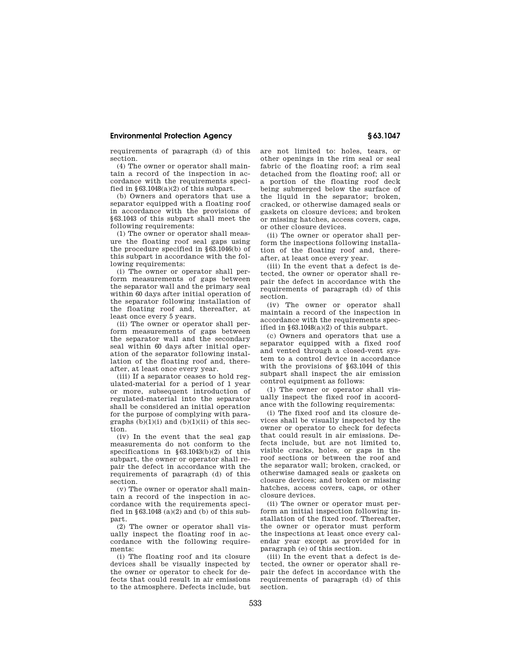requirements of paragraph (d) of this section.

(4) The owner or operator shall maintain a record of the inspection in accordance with the requirements specified in  $\S 63.1048(a)(2)$  of this subpart.

(b) Owners and operators that use a separator equipped with a floating roof in accordance with the provisions of §63.1043 of this subpart shall meet the following requirements:

(1) The owner or operator shall measure the floating roof seal gaps using the procedure specified in §63.1046(b) of this subpart in accordance with the following requirements:

(i) The owner or operator shall perform measurements of gaps between the separator wall and the primary seal within 60 days after initial operation of the separator following installation of the floating roof and, thereafter, at least once every 5 years.

(ii) The owner or operator shall perform measurements of gaps between the separator wall and the secondary seal within 60 days after initial operation of the separator following installation of the floating roof and, thereafter, at least once every year.

(iii) If a separator ceases to hold regulated-material for a period of 1 year or more, subsequent introduction of regulated-material into the separator shall be considered an initial operation for the purpose of complying with paragraphs  $(b)(1)(i)$  and  $(b)(1)(ii)$  of this section.

(iv) In the event that the seal gap measurements do not conform to the specifications in §63.1043(b)(2) of this subpart, the owner or operator shall repair the defect in accordance with the requirements of paragraph (d) of this section.

(v) The owner or operator shall maintain a record of the inspection in accordance with the requirements specified in  $$63.1048$  (a)(2) and (b) of this subpart.

(2) The owner or operator shall visually inspect the floating roof in accordance with the following requirements:

(i) The floating roof and its closure devices shall be visually inspected by the owner or operator to check for defects that could result in air emissions to the atmosphere. Defects include, but are not limited to: holes, tears, or other openings in the rim seal or seal fabric of the floating roof; a rim seal detached from the floating roof; all or a portion of the floating roof deck being submerged below the surface of the liquid in the separator; broken, cracked, or otherwise damaged seals or gaskets on closure devices; and broken or missing hatches, access covers, caps, or other closure devices.

(ii) The owner or operator shall perform the inspections following installation of the floating roof and, thereafter, at least once every year.

(iii) In the event that a defect is detected, the owner or operator shall repair the defect in accordance with the requirements of paragraph (d) of this section.

(iv) The owner or operator shall maintain a record of the inspection in accordance with the requirements specified in  $§63.1048(a)(2)$  of this subpart.

(c) Owners and operators that use a separator equipped with a fixed roof and vented through a closed-vent system to a control device in accordance with the provisions of §63.1044 of this subpart shall inspect the air emission control equipment as follows:

(1) The owner or operator shall visually inspect the fixed roof in accordance with the following requirements:

(i) The fixed roof and its closure devices shall be visually inspected by the owner or operator to check for defects that could result in air emissions. Defects include, but are not limited to, visible cracks, holes, or gaps in the roof sections or between the roof and the separator wall; broken, cracked, or otherwise damaged seals or gaskets on closure devices; and broken or missing hatches, access covers, caps, or other closure devices.

(ii) The owner or operator must perform an initial inspection following installation of the fixed roof. Thereafter, the owner or operator must perform the inspections at least once every calendar year except as provided for in paragraph (e) of this section.

(iii) In the event that a defect is detected, the owner or operator shall repair the defect in accordance with the requirements of paragraph (d) of this section.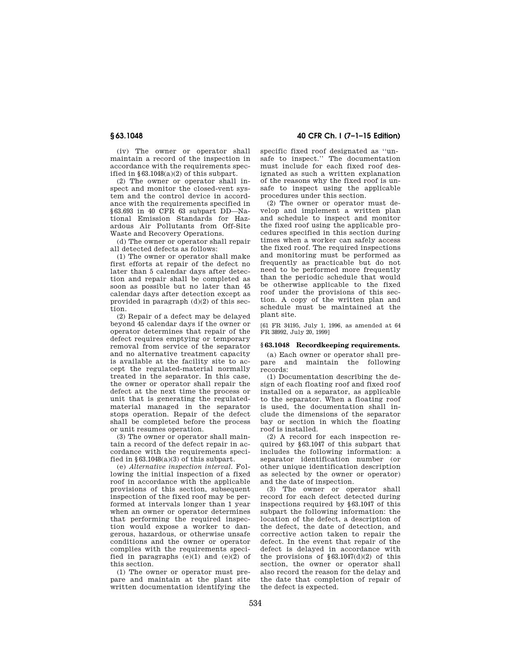(iv) The owner or operator shall maintain a record of the inspection in accordance with the requirements specified in  $\S 63.1048(a)(2)$  of this subpart.

(2) The owner or operator shall inspect and monitor the closed-vent system and the control device in accordance with the requirements specified in §63.693 in 40 CFR 63 subpart DD—National Emission Standards for Hazardous Air Pollutants from Off-Site Waste and Recovery Operations.

(d) The owner or operator shall repair all detected defects as follows:

(1) The owner or operator shall make first efforts at repair of the defect no later than 5 calendar days after detection and repair shall be completed as soon as possible but no later than 45 calendar days after detection except as provided in paragraph  $(d)(2)$  of this section.

(2) Repair of a defect may be delayed beyond 45 calendar days if the owner or operator determines that repair of the defect requires emptying or temporary removal from service of the separator and no alternative treatment capacity is available at the facility site to accept the regulated-material normally treated in the separator. In this case, the owner or operator shall repair the defect at the next time the process or unit that is generating the regulatedmaterial managed in the separator stops operation. Repair of the defect shall be completed before the process or unit resumes operation.

(3) The owner or operator shall maintain a record of the defect repair in accordance with the requirements specified in  $§63.1048(a)(3)$  of this subpart.

(e) *Alternative inspection interval.* Following the initial inspection of a fixed roof in accordance with the applicable provisions of this section, subsequent inspection of the fixed roof may be performed at intervals longer than 1 year when an owner or operator determines that performing the required inspection would expose a worker to dangerous, hazardous, or otherwise unsafe conditions and the owner or operator complies with the requirements specified in paragraphs  $(e)(1)$  and  $(e)(2)$  of this section.

(1) The owner or operator must prepare and maintain at the plant site written documentation identifying the

# **§ 63.1048 40 CFR Ch. I (7–1–15 Edition)**

specific fixed roof designated as ''unsafe to inspect.'' The documentation must include for each fixed roof designated as such a written explanation of the reasons why the fixed roof is unsafe to inspect using the applicable procedures under this section.

(2) The owner or operator must develop and implement a written plan and schedule to inspect and monitor the fixed roof using the applicable procedures specified in this section during times when a worker can safely access the fixed roof. The required inspections and monitoring must be performed as frequently as practicable but do not need to be performed more frequently than the periodic schedule that would be otherwise applicable to the fixed roof under the provisions of this section. A copy of the written plan and schedule must be maintained at the plant site.

[61 FR 34195, July 1, 1996, as amended at 64 FR 38992, July 20, 1999]

#### **§ 63.1048 Recordkeeping requirements.**

(a) Each owner or operator shall prepare and maintain the following records:

(1) Documentation describing the design of each floating roof and fixed roof installed on a separator, as applicable to the separator. When a floating roof is used, the documentation shall include the dimensions of the separator bay or section in which the floating roof is installed.

(2) A record for each inspection required by §63.1047 of this subpart that includes the following information: a separator identification number (or other unique identification description as selected by the owner or operator) and the date of inspection.

(3) The owner or operator shall record for each defect detected during inspections required by §63.1047 of this subpart the following information: the location of the defect, a description of the defect, the date of detection, and corrective action taken to repair the defect. In the event that repair of the defect is delayed in accordance with the provisions of  $\S 63.1047(d)(2)$  of this section, the owner or operator shall also record the reason for the delay and the date that completion of repair of the defect is expected.